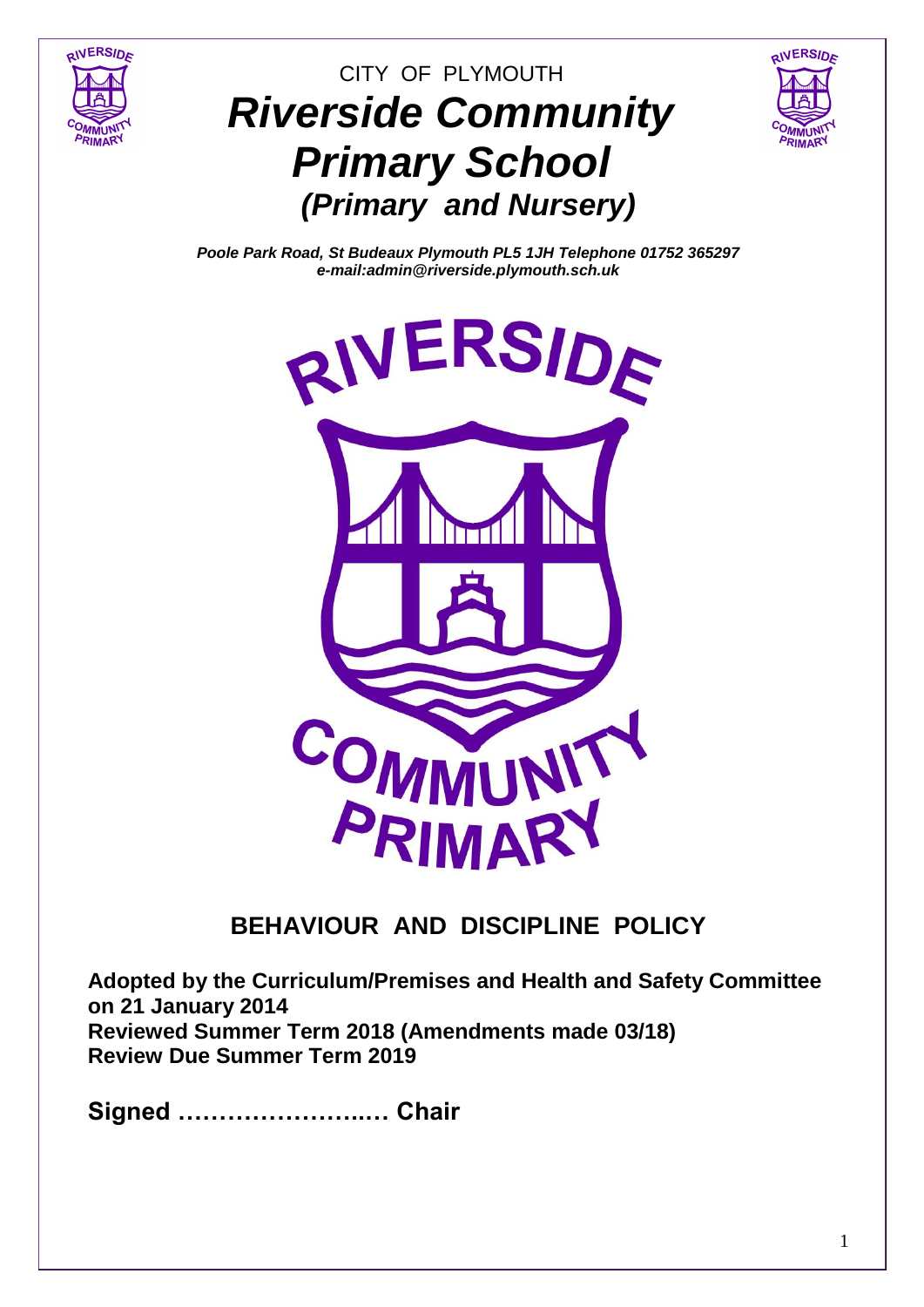

# CITY OF PLYMOUTH *Riverside Community Primary School (Primary and Nursery)*



*Poole Park Road, St Budeaux Plymouth PL5 1JH Telephone 01752 365297 e-mail:admin@riverside.plymouth.sch.uk*



# **BEHAVIOUR AND DISCIPLINE POLICY**

**Adopted by the Curriculum/Premises and Health and Safety Committee on 21 January 2014 Reviewed Summer Term 2018 (Amendments made 03/18) Review Due Summer Term 2019**

**Signed …………………..… Chair**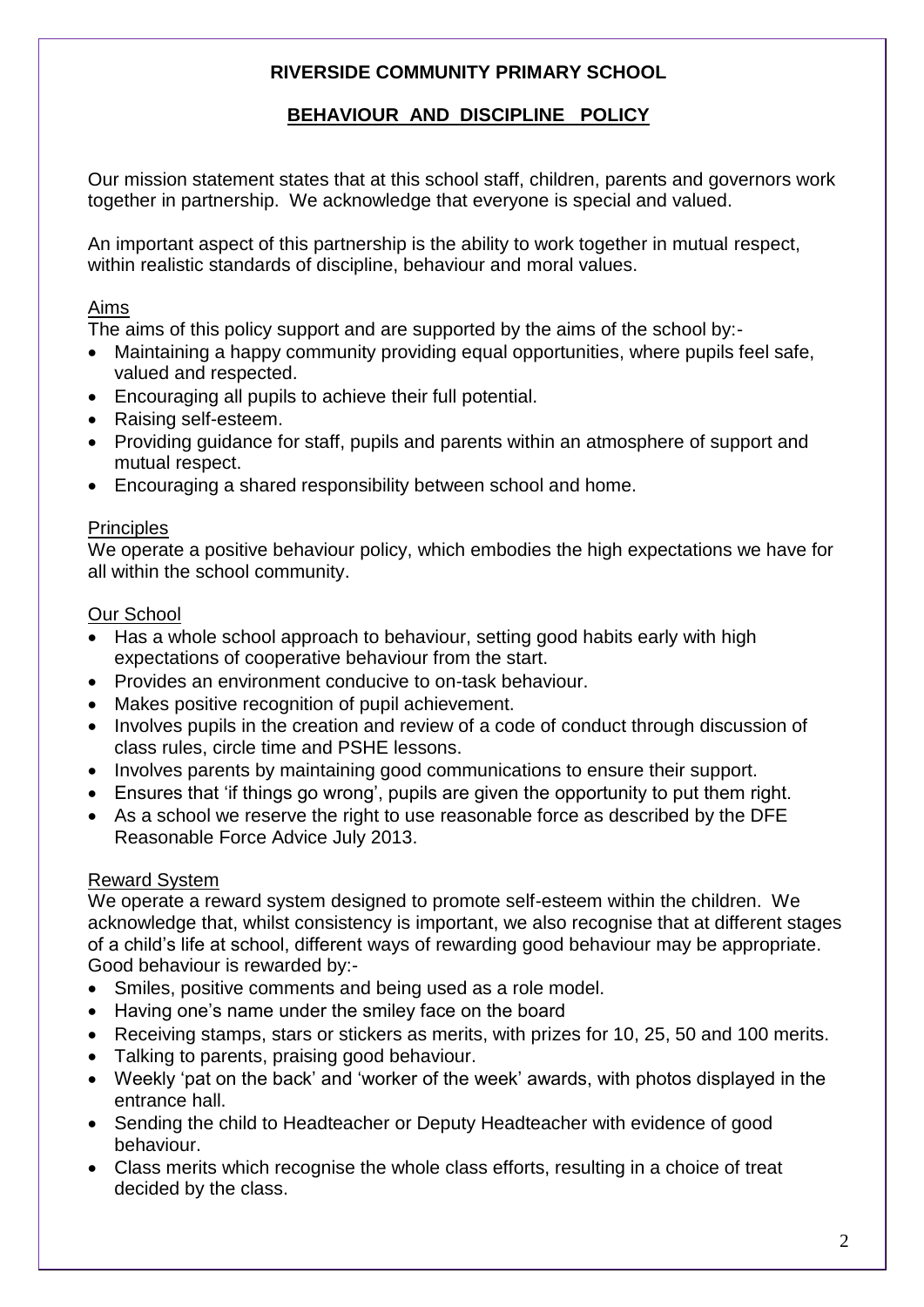# **RIVERSIDE COMMUNITY PRIMARY SCHOOL**

# **BEHAVIOUR AND DISCIPLINE POLICY**

Our mission statement states that at this school staff, children, parents and governors work together in partnership. We acknowledge that everyone is special and valued.

An important aspect of this partnership is the ability to work together in mutual respect, within realistic standards of discipline, behaviour and moral values.

#### Aims

The aims of this policy support and are supported by the aims of the school by:-

- Maintaining a happy community providing equal opportunities, where pupils feel safe, valued and respected.
- Encouraging all pupils to achieve their full potential.
- Raising self-esteem.
- Providing guidance for staff, pupils and parents within an atmosphere of support and mutual respect.
- Encouraging a shared responsibility between school and home.

#### **Principles**

We operate a positive behaviour policy, which embodies the high expectations we have for all within the school community.

#### Our School

- Has a whole school approach to behaviour, setting good habits early with high expectations of cooperative behaviour from the start.
- Provides an environment conducive to on-task behaviour.
- Makes positive recognition of pupil achievement.
- Involves pupils in the creation and review of a code of conduct through discussion of class rules, circle time and PSHE lessons.
- Involves parents by maintaining good communications to ensure their support.
- Ensures that 'if things go wrong', pupils are given the opportunity to put them right.
- As a school we reserve the right to use reasonable force as described by the DFE Reasonable Force Advice July 2013.

#### Reward System

We operate a reward system designed to promote self-esteem within the children. We acknowledge that, whilst consistency is important, we also recognise that at different stages of a child's life at school, different ways of rewarding good behaviour may be appropriate. Good behaviour is rewarded by:-

- Smiles, positive comments and being used as a role model.
- Having one's name under the smiley face on the board
- Receiving stamps, stars or stickers as merits, with prizes for 10, 25, 50 and 100 merits.
- Talking to parents, praising good behaviour.
- Weekly 'pat on the back' and 'worker of the week' awards, with photos displayed in the entrance hall.
- Sending the child to Headteacher or Deputy Headteacher with evidence of good behaviour.
- Class merits which recognise the whole class efforts, resulting in a choice of treat decided by the class.